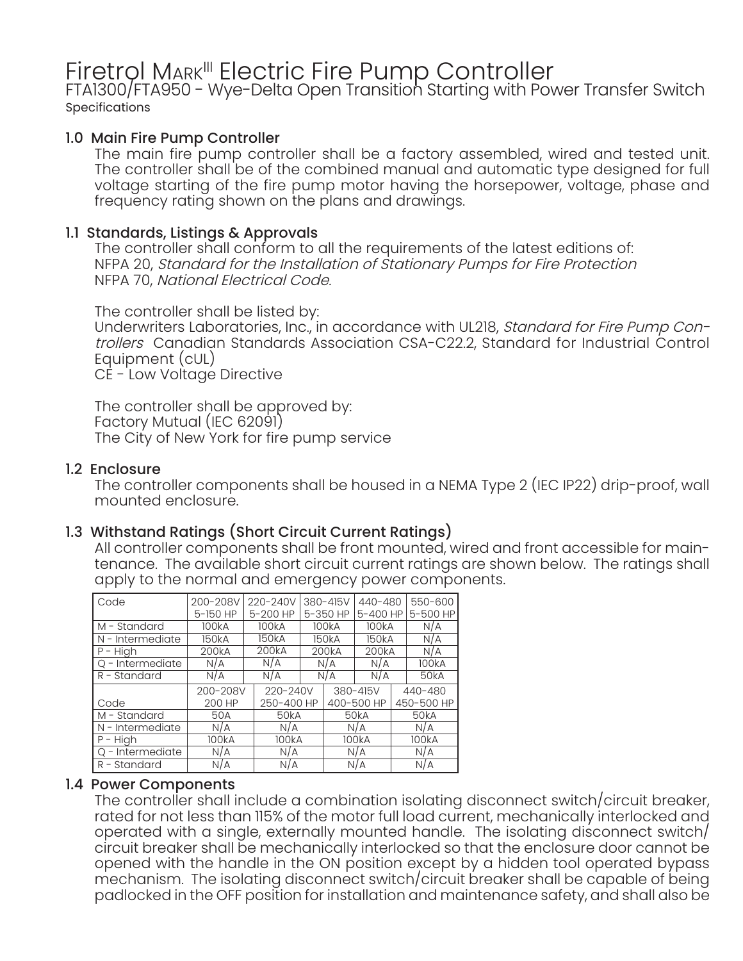# Firetrol Mark<sup>III</sup> Electric Fire Pump Controller<br>FTA1300/FTA950 - Wye-Delta Open Transition Starting with Power Transfer Switch

Specifications

### 1.0 Main Fire Pump Controller

The main fire pump controller shall be a factory assembled, wired and tested unit. The controller shall be of the combined manual and automatic type designed for full voltage starting of the fire pump motor having the horsepower, voltage, phase and frequency rating shown on the plans and drawings.

### 1.1 Standards, Listings & Approvals

The controller shall conform to all the requirements of the latest editions of: NFPA 20, Standard for the Installation of Stationary Pumps for Fire Protection NFPA 70, National Electrical Code.

The controller shall be listed by:

Underwriters Laboratories, Inc., in accordance with UL218, Standard for Fire Pump Controllers Canadian Standards Association CSA-C22.2, Standard for Industrial Control Equipment (cUL)

CE - Low Voltage Directive

The controller shall be approved by: Factory Mutual (IEC 62091) The City of New York for fire pump service

### 1.2 Enclosure

The controller components shall be housed in a NEMA Type 2 (IEC IP22) drip-proof, wall mounted enclosure.

# 1.3 Withstand Ratings (Short Circuit Current Ratings)

All controller components shall be front mounted, wired and front accessible for maintenance. The available short circuit current ratings are shown below. The ratings shall apply to the normal and emergency power components.

| Code             | 200-208V<br>5-150 HP |                    | 220-240V<br>5-200 HP | 380-415V<br>5-350 HP |                    | 440-480<br>5-400 HP |                    | 550-600<br>5-500 HP |
|------------------|----------------------|--------------------|----------------------|----------------------|--------------------|---------------------|--------------------|---------------------|
| M - Standard     | 100 <sub>k</sub> A   |                    | 100kA                |                      | 100 <sub>k</sub> A | 100 <sub>k</sub> A  |                    | N/A                 |
| N - Intermediate | 150kA                | 150kA              |                      | 150kA                |                    | 150kA               |                    | N/A                 |
| $P - High$       | 200kA                | 200 <sub>k</sub> A |                      |                      | 200 <sub>k</sub> A | 200 <sub>k</sub> A  |                    | N/A                 |
| Q - Intermediate | N/A                  | N/A                |                      |                      | N/A                | N/A                 |                    | 100 <sub>k</sub> A  |
| $R -$ Standard   | N/A                  | N/A                |                      | N/A                  |                    | N/A                 |                    | 50 <sub>k</sub> A   |
|                  | 200-208V             |                    | 220-240V             |                      | 380-415V           |                     | 440-480            |                     |
| Code             | 200 HP               |                    | 250-400 HP           |                      | 400-500 HP         |                     | 450-500 HP         |                     |
| M - Standard     | 50A                  |                    | 50 <sub>k</sub> A    |                      | 50 <sub>k</sub> A  |                     | 50 <sub>k</sub> A  |                     |
| N - Intermediate | N/A                  |                    | N/A                  |                      | N/A                |                     | N/A                |                     |
| $P - High$       | 100kA                |                    | 100kA                |                      | 100kA              |                     | 100 <sub>k</sub> A |                     |
| Q - Intermediate | N/A                  |                    | N/A                  |                      | N/A                |                     | N/A                |                     |
| R - Standard     | N/A                  |                    | N/A                  |                      | N/A                |                     | N/A                |                     |

#### 1.4 Power Components

The controller shall include a combination isolating disconnect switch/circuit breaker, rated for not less than 115% of the motor full load current, mechanically interlocked and operated with a single, externally mounted handle. The isolating disconnect switch/ circuit breaker shall be mechanically interlocked so that the enclosure door cannot be opened with the handle in the ON position except by a hidden tool operated bypass mechanism. The isolating disconnect switch/circuit breaker shall be capable of being padlocked in the OFF position for installation and maintenance safety, and shall also be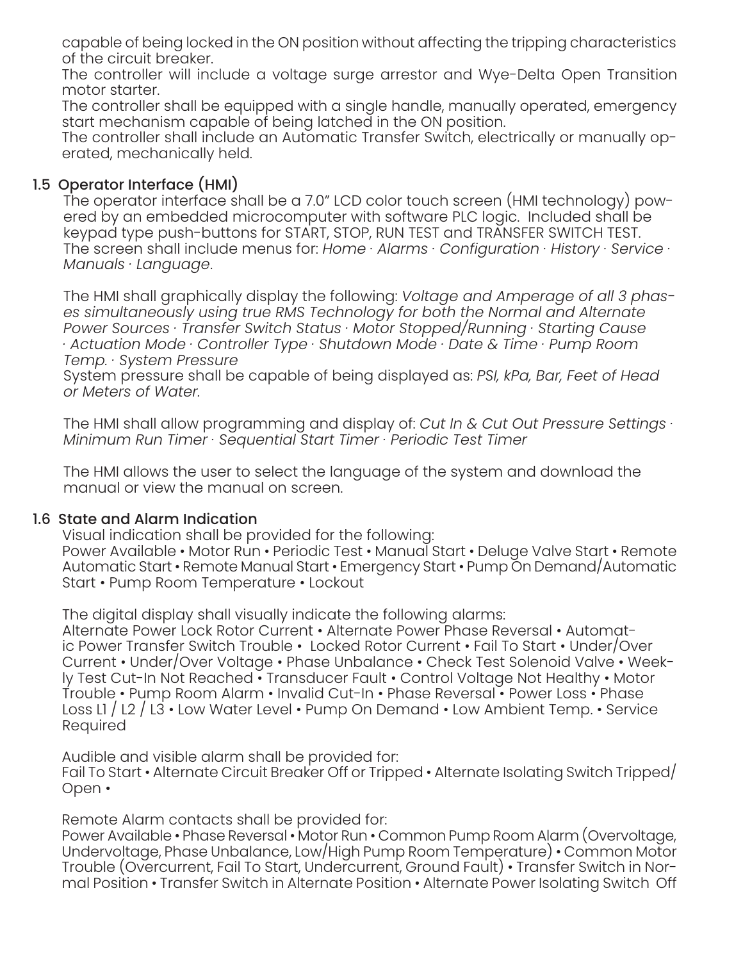capable of being locked in the ON position without affecting the tripping characteristics of the circuit breaker.

The controller will include a voltage surge arrestor and Wye-Delta Open Transition motor starter.

The controller shall be equipped with a single handle, manually operated, emergency start mechanism capable of being latched in the ON position.

The controller shall include an Automatic Transfer Switch, electrically or manually operated, mechanically held.

# 1.5 Operator Interface (HMI)

The operator interface shall be a 7.0" LCD color touch screen (HMI technology) powered by an embedded microcomputer with software PLC logic. Included shall be keypad type push-buttons for START, STOP, RUN TEST and TRANSFER SWITCH TEST. The screen shall include menus for: *Home · Alarms · Configuration · History · Service · Manuals · Language*.

The HMI shall graphically display the following: *Voltage and Amperage of all 3 phases simultaneously using true RMS Technology for both the Normal and Alternate Power Sources · Transfer Switch Status · Motor Stopped/Running · Starting Cause · Actuation Mode · Controller Type · Shutdown Mode · Date & Time · Pump Room Temp. · System Pressure*

System pressure shall be capable of being displayed as: *PSI, kPa, Bar, Feet of Head or Meters of Water.*

The HMI shall allow programming and display of: *Cut In & Cut Out Pressure Settings · Minimum Run Timer · Sequential Start Timer · Periodic Test Timer*

The HMI allows the user to select the language of the system and download the manual or view the manual on screen.

#### 1.6 State and Alarm Indication

Visual indication shall be provided for the following: Power Available • Motor Run • Periodic Test • Manual Start • Deluge Valve Start • Remote Automatic Start • Remote Manual Start • Emergency Start • Pump On Demand/Automatic Start • Pump Room Temperature • Lockout

The digital display shall visually indicate the following alarms: Alternate Power Lock Rotor Current • Alternate Power Phase Reversal • Automat-

ic Power Transfer Switch Trouble • Locked Rotor Current • Fail To Start • Under/Over Current • Under/Over Voltage • Phase Unbalance • Check Test Solenoid Valve • Weekly Test Cut-In Not Reached • Transducer Fault • Control Voltage Not Healthy • Motor Trouble • Pump Room Alarm • Invalid Cut-In • Phase Reversal • Power Loss • Phase Loss L1 / L2 / L3 • Low Water Level • Pump On Demand • Low Ambient Temp. • Service Required

Audible and visible alarm shall be provided for:

Fail To Start • Alternate Circuit Breaker Off or Tripped • Alternate Isolating Switch Tripped/ Open •

Remote Alarm contacts shall be provided for:

Power Available • Phase Reversal • Motor Run • Common Pump Room Alarm (Overvoltage, Undervoltage, Phase Unbalance, Low/High Pump Room Temperature) • Common Motor Trouble (Overcurrent, Fail To Start, Undercurrent, Ground Fault) • Transfer Switch in Normal Position • Transfer Switch in Alternate Position • Alternate Power Isolating Switch Off